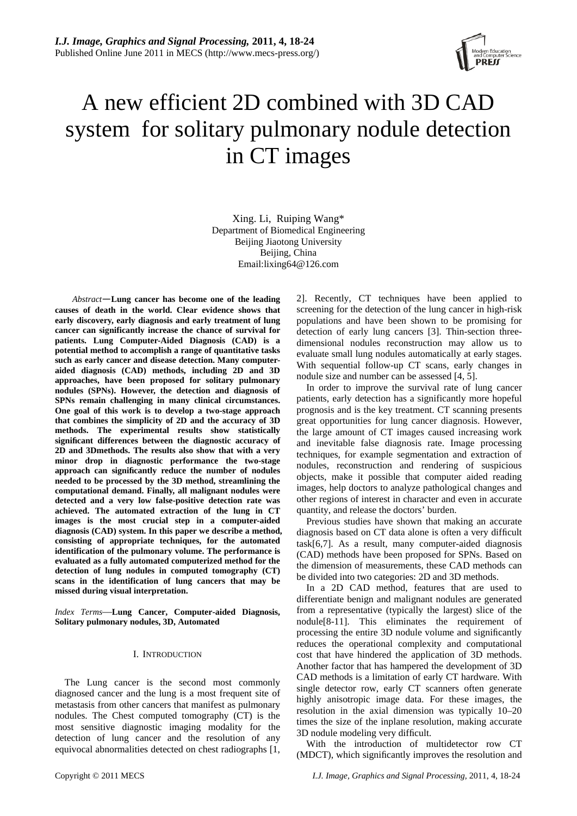

# A new efficient 2D combined with 3D CAD system for solitary pulmonary nodule detection in CT images

Xing. Li, Ruiping Wang\* Department of Biomedical Engineering Beijing Jiaotong University Beijing, China Email:lixing64@126.com

*Abstract*—**Lung cancer has become one of the leading causes of death in the world. Clear evidence shows that early discovery, early diagnosis and early treatment of lung cancer can significantly increase the chance of survival for patients. Lung Computer-Aided Diagnosis (CAD) is a potential method to accomplish a range of quantitative tasks such as early cancer and disease detection. Many computeraided diagnosis (CAD) methods, including 2D and 3D approaches, have been proposed for solitary pulmonary nodules (SPNs). However, the detection and diagnosis of SPNs remain challenging in many clinical circumstances. One goal of this work is to develop a two-stage approach that combines the simplicity of 2D and the accuracy of 3D methods. The experimental results show statistically significant differences between the diagnostic accuracy of 2D and 3Dmethods. The results also show that with a very minor drop in diagnostic performance the two-stage approach can significantly reduce the number of nodules needed to be processed by the 3D method, streamlining the computational demand. Finally, all malignant nodules were detected and a very low false-positive detection rate was achieved. The automated extraction of the lung in CT images is the most crucial step in a computer-aided diagnosis (CAD) system. In this paper we describe a method, consisting of appropriate techniques, for the automated identification of the pulmonary volume. The performance is evaluated as a fully automated computerized method for the detection of lung nodules in computed tomography (CT) scans in the identification of lung cancers that may be missed during visual interpretation.** 

*Index Terms*—**Lung Cancer, Computer-aided Diagnosis, Solitary pulmonary nodules, 3D, Automated** 

## I. INTRODUCTION

The Lung cancer is the second most commonly diagnosed cancer and the lung is a most frequent site of metastasis from other cancers that manifest as pulmonary nodules. The Chest computed tomography (CT) is the most sensitive diagnostic imaging modality for the detection of lung cancer and the resolution of any equivocal abnormalities detected on chest radiographs [1, 2]. Recently, CT techniques have been applied to screening for the detection of the lung cancer in high-risk populations and have been shown to be promising for detection of early lung cancers [3]. Thin-section threedimensional nodules reconstruction may allow us to evaluate small lung nodules automatically at early stages. With sequential follow-up CT scans, early changes in nodule size and number can be assessed [4, 5].

In order to improve the survival rate of lung cancer patients, early detection has a significantly more hopeful prognosis and is the key treatment. CT scanning presents great opportunities for lung cancer diagnosis. However, the large amount of CT images caused increasing work and inevitable false diagnosis rate. Image processing techniques, for example segmentation and extraction of nodules, reconstruction and rendering of suspicious objects, make it possible that computer aided reading images, help doctors to analyze pathological changes and other regions of interest in character and even in accurate quantity, and release the doctors' burden.

Previous studies have shown that making an accurate diagnosis based on CT data alone is often a very difficult task[6,7]. As a result, many computer-aided diagnosis (CAD) methods have been proposed for SPNs. Based on the dimension of measurements, these CAD methods can be divided into two categories: 2D and 3D methods.

In a 2D CAD method, features that are used to differentiate benign and malignant nodules are generated from a representative (typically the largest) slice of the nodule[8-11]. This eliminates the requirement of processing the entire 3D nodule volume and significantly reduces the operational complexity and computational cost that have hindered the application of 3D methods. Another factor that has hampered the development of 3D CAD methods is a limitation of early CT hardware. With single detector row, early CT scanners often generate highly anisotropic image data. For these images, the resolution in the axial dimension was typically 10–20 times the size of the inplane resolution, making accurate 3D nodule modeling very difficult.

With the introduction of multidetector row CT (MDCT), which significantly improves the resolution and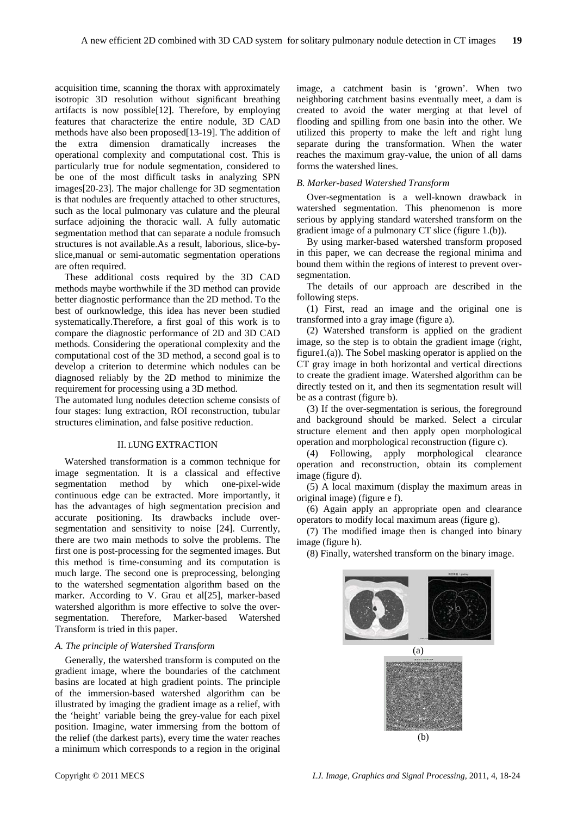acquisition time, scanning the thorax with approximately isotropic 3D resolution without significant breathing artifacts is now possible[12]. Therefore, by employing features that characterize the entire nodule, 3D CAD methods have also been proposed[13-19]. The addition of the extra dimension dramatically increases the operational complexity and computational cost. This is particularly true for nodule segmentation, considered to be one of the most difficult tasks in analyzing SPN images[20-23]. The major challenge for 3D segmentation is that nodules are frequently attached to other structures, such as the local pulmonary vas culature and the pleural surface adjoining the thoracic wall. A fully automatic segmentation method that can separate a nodule fromsuch structures is not available.As a result, laborious, slice-byslice,manual or semi-automatic segmentation operations are often required.

These additional costs required by the 3D CAD methods maybe worthwhile if the 3D method can provide better diagnostic performance than the 2D method. To the best of ourknowledge, this idea has never been studied systematically.Therefore, a first goal of this work is to compare the diagnostic performance of 2D and 3D CAD methods. Considering the operational complexity and the computational cost of the 3D method, a second goal is to develop a criterion to determine which nodules can be diagnosed reliably by the 2D method to minimize the requirement for processing using a 3D method.

The automated lung nodules detection scheme consists of four stages: lung extraction, ROI reconstruction, tubular structures elimination, and false positive reduction.

## II. LUNG EXTRACTION

Watershed transformation is a common technique for image segmentation. It is a classical and effective segmentation method by which one-pixel-wide continuous edge can be extracted. More importantly, it has the advantages of high segmentation precision and accurate positioning. Its drawbacks include oversegmentation and sensitivity to noise [24]. Currently, there are two main methods to solve the problems. The first one is post-processing for the segmented images. But this method is time-consuming and its computation is much large. The second one is preprocessing, belonging to the watershed segmentation algorithm based on the marker. According to V. Grau et al<sup>[25]</sup>, marker-based watershed algorithm is more effective to solve the oversegmentation. Therefore, Marker-based Watershed Transform is tried in this paper.

## *A. The principle of Watershed Transform*

Generally, the watershed transform is computed on the gradient image, where the boundaries of the catchment basins are located at high gradient points. The principle of the immersion-based watershed algorithm can be illustrated by imaging the gradient image as a relief, with the 'height' variable being the grey-value for each pixel position. Imagine, water immersing from the bottom of the relief (the darkest parts), every time the water reaches a minimum which corresponds to a region in the original image, a catchment basin is 'grown'. When two neighboring catchment basins eventually meet, a dam is created to avoid the water merging at that level of flooding and spilling from one basin into the other. We utilized this property to make the left and right lung separate during the transformation. When the water reaches the maximum gray-value, the union of all dams forms the watershed lines.

## *B. Marker-based Watershed Transform*

Over-segmentation is a well-known drawback in watershed segmentation. This phenomenon is more serious by applying standard watershed transform on the gradient image of a pulmonary CT slice (figure 1.(b)).

By using marker-based watershed transform proposed in this paper, we can decrease the regional minima and bound them within the regions of interest to prevent oversegmentation.

The details of our approach are described in the following steps.

(1) First, read an image and the original one is transformed into a gray image (figure a).

(2) Watershed transform is applied on the gradient image, so the step is to obtain the gradient image (right, figure1.(a)). The Sobel masking operator is applied on the CT gray image in both horizontal and vertical directions to create the gradient image. Watershed algorithm can be directly tested on it, and then its segmentation result will be as a contrast (figure b).

(3) If the over-segmentation is serious, the foreground and background should be marked. Select a circular structure element and then apply open morphological operation and morphological reconstruction (figure c).

(4) Following, apply morphological clearance operation and reconstruction, obtain its complement image (figure d).

(5) A local maximum (display the maximum areas in original image) (figure e f).

(6) Again apply an appropriate open and clearance operators to modify local maximum areas (figure g).

(7) The modified image then is changed into binary image (figure h).

(8) Finally, watershed transform on the binary image.

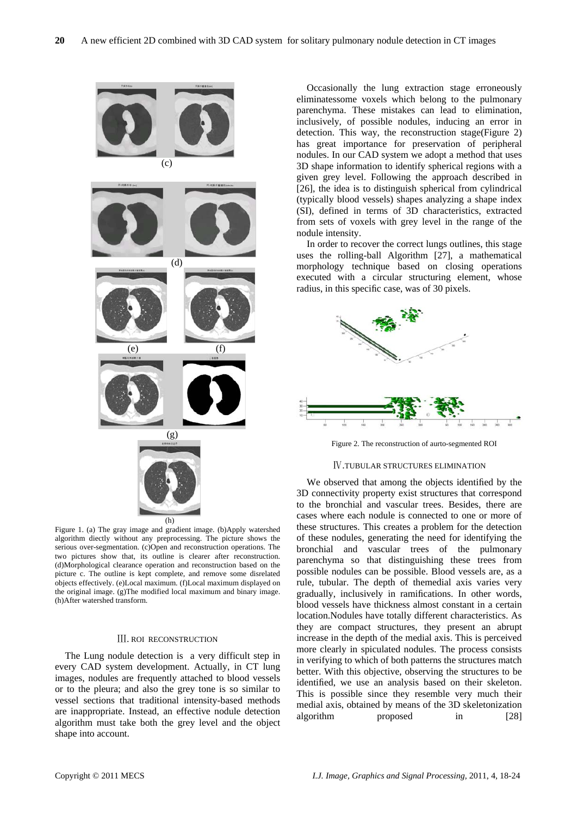

Figure 1. (a) The gray image and gradient image. (b)Apply watershed algorithm diectly without any preprocessing. The picture shows the serious over-segmentation. (c)Open and reconstruction operations. The two pictures show that, its outline is clearer after reconstruction. (d)Morphological clearance operation and reconstruction based on the picture c. The outline is kept complete, and remove some disrelated objects effectively. (e)Local maximum. (f)Local maximum displayed on the original image. (g)The modified local maximum and binary image. (h)After watershed transform.

## Ⅲ. ROI RECONSTRUCTION

The Lung nodule detection is a very difficult step in every CAD system development. Actually, in CT lung images, nodules are frequently attached to blood vessels or to the pleura; and also the grey tone is so similar to vessel sections that traditional intensity-based methods are inappropriate. Instead, an effective nodule detection algorithm must take both the grey level and the object shape into account.

Occasionally the lung extraction stage erroneously eliminatessome voxels which belong to the pulmonary parenchyma. These mistakes can lead to elimination, inclusively, of possible nodules, inducing an error in detection. This way, the reconstruction stage(Figure 2) has great importance for preservation of peripheral nodules. In our CAD system we adopt a method that uses 3D shape information to identify spherical regions with a given grey level. Following the approach described in [26], the idea is to distinguish spherical from cylindrical (typically blood vessels) shapes analyzing a shape index (SI), defined in terms of 3D characteristics, extracted from sets of voxels with grey level in the range of the nodule intensity.

In order to recover the correct lungs outlines, this stage uses the rolling-ball Algorithm [27], a mathematical morphology technique based on closing operations executed with a circular structuring element, whose radius, in this specific case, was of 30 pixels.



Figure 2. The reconstruction of aurto-segmented ROI

## Ⅳ.TUBULAR STRUCTURES ELIMINATION

We observed that among the objects identified by the 3D connectivity property exist structures that correspond to the bronchial and vascular trees. Besides, there are cases where each nodule is connected to one or more of these structures. This creates a problem for the detection of these nodules, generating the need for identifying the bronchial and vascular trees of the pulmonary parenchyma so that distinguishing these trees from possible nodules can be possible. Blood vessels are, as a rule, tubular. The depth of themedial axis varies very gradually, inclusively in ramifications. In other words, blood vessels have thickness almost constant in a certain location.Nodules have totally different characteristics. As they are compact structures, they present an abrupt increase in the depth of the medial axis. This is perceived more clearly in spiculated nodules. The process consists in verifying to which of both patterns the structures match better. With this objective, observing the structures to be identified, we use an analysis based on their skeleton. This is possible since they resemble very much their medial axis, obtained by means of the 3D skeletonization algorithm proposed in [28]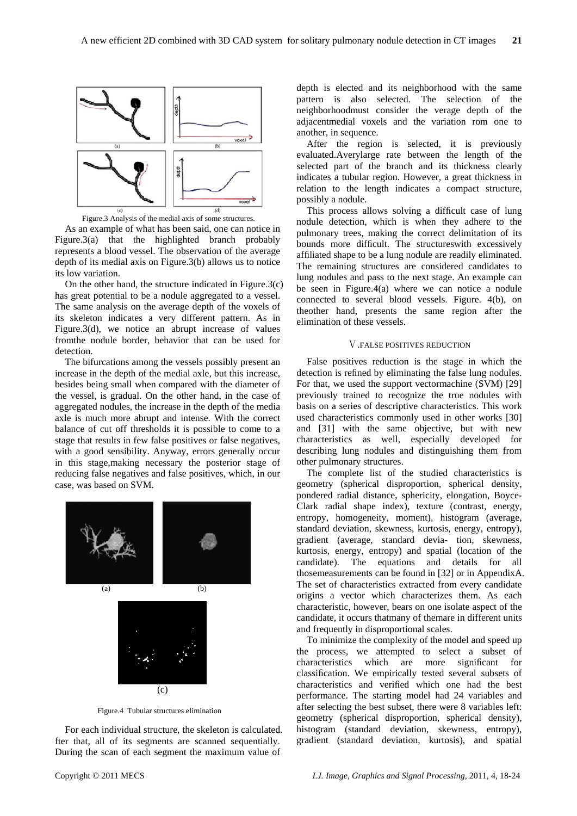

Figure.3 Analysis of the medial axis of some structures.

As an example of what has been said, one can notice in Figure.3(a) that the highlighted branch probably represents a blood vessel. The observation of the average depth of its medial axis on Figure.3(b) allows us to notice its low variation.

On the other hand, the structure indicated in Figure. $3(c)$ has great potential to be a nodule aggregated to a vessel. The same analysis on the average depth of the voxels of its skeleton indicates a very different pattern. As in Figure.3(d), we notice an abrupt increase of values fromthe nodule border, behavior that can be used for detection.

The bifurcations among the vessels possibly present an increase in the depth of the medial axle, but this increase, besides being small when compared with the diameter of the vessel, is gradual. On the other hand, in the case of aggregated nodules, the increase in the depth of the media axle is much more abrupt and intense. With the correct balance of cut off thresholds it is possible to come to a stage that results in few false positives or false negatives, with a good sensibility. Anyway, errors generally occur in this stage,making necessary the posterior stage of reducing false negatives and false positives, which, in our case, was based on SVM.



Figure.4 Tubular structures elimination

For each individual structure, the skeleton is calculated. fter that, all of its segments are scanned sequentially. During the scan of each segment the maximum value of

depth is elected and its neighborhood with the same pattern is also selected. The selection of the neighborhoodmust consider the verage depth of the adjacentmedial voxels and the variation rom one to another, in sequence.

After the region is selected, it is previously evaluated.Averylarge rate between the length of the selected part of the branch and its thickness clearly indicates a tubular region. However, a great thickness in relation to the length indicates a compact structure, possibly a nodule.

This process allows solving a difficult case of lung nodule detection, which is when they adhere to the pulmonary trees, making the correct delimitation of its bounds more difficult. The structureswith excessively affiliated shape to be a lung nodule are readily eliminated. The remaining structures are considered candidates to lung nodules and pass to the next stage. An example can be seen in Figure. $4(a)$  where we can notice a nodule connected to several blood vessels. Figure. 4(b), on theother hand, presents the same region after the elimination of these vessels.

# Ⅴ.FALSE POSITIVES REDUCTION

False positives reduction is the stage in which the detection is refined by eliminating the false lung nodules. For that, we used the support vectormachine (SVM) [29] previously trained to recognize the true nodules with basis on a series of descriptive characteristics. This work used characteristics commonly used in other works [30] and [31] with the same objective, but with new characteristics as well, especially developed for describing lung nodules and distinguishing them from other pulmonary structures.

The complete list of the studied characteristics is geometry (spherical disproportion, spherical density, pondered radial distance, sphericity, elongation, Boyce-Clark radial shape index), texture (contrast, energy, entropy, homogeneity, moment), histogram (average, standard deviation, skewness, kurtosis, energy, entropy), gradient (average, standard devia- tion, skewness, kurtosis, energy, entropy) and spatial (location of the candidate). The equations and details for all thosemeasurements can be found in [32] or in AppendixA. The set of characteristics extracted from every candidate origins a vector which characterizes them. As each characteristic, however, bears on one isolate aspect of the candidate, it occurs thatmany of themare in different units and frequently in disproportional scales.

To minimize the complexity of the model and speed up the process, we attempted to select a subset of characteristics which are more significant for classification. We empirically tested several subsets of characteristics and verified which one had the best performance. The starting model had 24 variables and after selecting the best subset, there were 8 variables left: geometry (spherical disproportion, spherical density), histogram (standard deviation, skewness, entropy), gradient (standard deviation, kurtosis), and spatial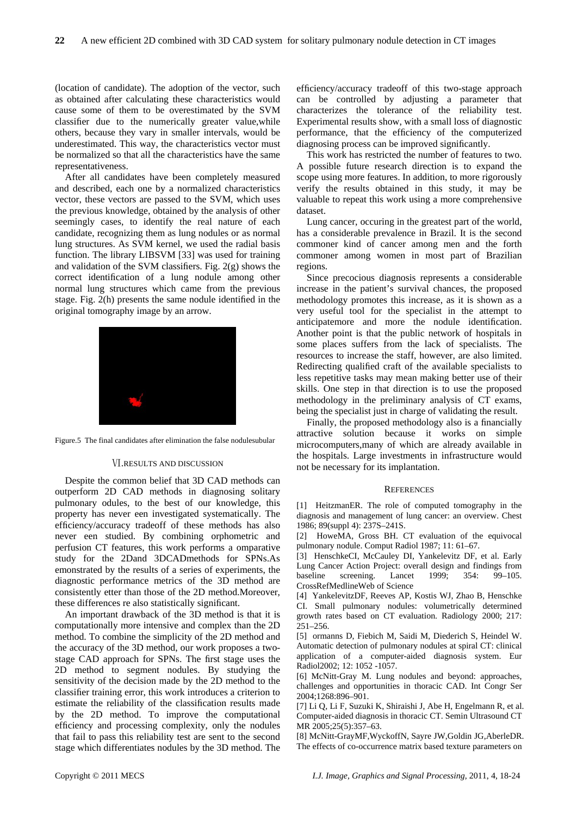(location of candidate). The adoption of the vector, such as obtained after calculating these characteristics would cause some of them to be overestimated by the SVM classifier due to the numerically greater value,while others, because they vary in smaller intervals, would be underestimated. This way, the characteristics vector must be normalized so that all the characteristics have the same representativeness.

After all candidates have been completely measured and described, each one by a normalized characteristics vector, these vectors are passed to the SVM, which uses the previous knowledge, obtained by the analysis of other seemingly cases, to identify the real nature of each candidate, recognizing them as lung nodules or as normal lung structures. As SVM kernel, we used the radial basis function. The library LIBSVM [33] was used for training and validation of the SVM classifiers. Fig. 2(g) shows the correct identification of a lung nodule among other normal lung structures which came from the previous stage. Fig. 2(h) presents the same nodule identified in the original tomography image by an arrow.



Figure.5 The final candidates after elimination the false nodulesubular

### Ⅵ.RESULTS AND DISCUSSION

Despite the common belief that 3D CAD methods can outperform 2D CAD methods in diagnosing solitary pulmonary odules, to the best of our knowledge, this property has never een investigated systematically. The efficiency/accuracy tradeoff of these methods has also never een studied. By combining orphometric and perfusion CT features, this work performs a omparative study for the 2Dand 3DCADmethods for SPNs.As emonstrated by the results of a series of experiments, the diagnostic performance metrics of the 3D method are consistently etter than those of the 2D method.Moreover, these differences re also statistically significant.

An important drawback of the 3D method is that it is computationally more intensive and complex than the 2D method. To combine the simplicity of the 2D method and the accuracy of the 3D method, our work proposes a twostage CAD approach for SPNs. The first stage uses the 2D method to segment nodules. By studying the sensitivity of the decision made by the 2D method to the classifier training error, this work introduces a criterion to estimate the reliability of the classification results made by the 2D method. To improve the computational efficiency and processing complexity, only the nodules that fail to pass this reliability test are sent to the second stage which differentiates nodules by the 3D method. The efficiency/accuracy tradeoff of this two-stage approach can be controlled by adjusting a parameter that characterizes the tolerance of the reliability test. Experimental results show, with a small loss of diagnostic performance, that the efficiency of the computerized diagnosing process can be improved significantly.

This work has restricted the number of features to two. A possible future research direction is to expand the scope using more features. In addition, to more rigorously verify the results obtained in this study, it may be valuable to repeat this work using a more comprehensive dataset.

Lung cancer, occuring in the greatest part of the world, has a considerable prevalence in Brazil. It is the second commoner kind of cancer among men and the forth commoner among women in most part of Brazilian regions.

Since precocious diagnosis represents a considerable increase in the patient's survival chances, the proposed methodology promotes this increase, as it is shown as a very useful tool for the specialist in the attempt to anticipatemore and more the nodule identification. Another point is that the public network of hospitals in some places suffers from the lack of specialists. The resources to increase the staff, however, are also limited. Redirecting qualified craft of the available specialists to less repetitive tasks may mean making better use of their skills. One step in that direction is to use the proposed methodology in the preliminary analysis of CT exams, being the specialist just in charge of validating the result.

Finally, the proposed methodology also is a financially attractive solution because it works on simple microcomputers,many of which are already available in the hospitals. Large investments in infrastructure would not be necessary for its implantation.

#### **REFERENCES**

[1] HeitzmanER. The role of computed tomography in the diagnosis and management of lung cancer: an overview. Chest 1986; 89(suppl 4): 237S–241S.

[2] HoweMA, Gross BH. CT evaluation of the equivocal pulmonary nodule. Comput Radiol 1987; 11: 61–67.

[3] HenschkeCI, McCauley DI, Yankelevitz DF, et al. Early Lung Cancer Action Project: overall design and findings from baseline screening. Lancet 1999; 354: 99–105. CrossRefMedlineWeb of Science

[4] YankelevitzDF, Reeves AP, Kostis WJ, Zhao B, Henschke CI. Small pulmonary nodules: volumetrically determined growth rates based on CT evaluation. Radiology 2000; 217: 251–256.

[5] ormanns D, Fiebich M, Saidi M, Diederich S, Heindel W. Automatic detection of pulmonary nodules at spiral CT: clinical application of a computer-aided diagnosis system. Eur Radiol2002; 12: 1052 -1057.

[6] McNitt-Gray M. Lung nodules and beyond: approaches, challenges and opportunities in thoracic CAD. Int Congr Ser 2004;1268:896–901.

[7] Li Q, Li F, Suzuki K, Shiraishi J, Abe H, Engelmann R, et al. Computer-aided diagnosis in thoracic CT. Semin Ultrasound CT MR 2005;25(5):357–63.

[8] McNitt-GrayMF,WyckoffN, Sayre JW,Goldin JG,AberleDR. The effects of co-occurrence matrix based texture parameters on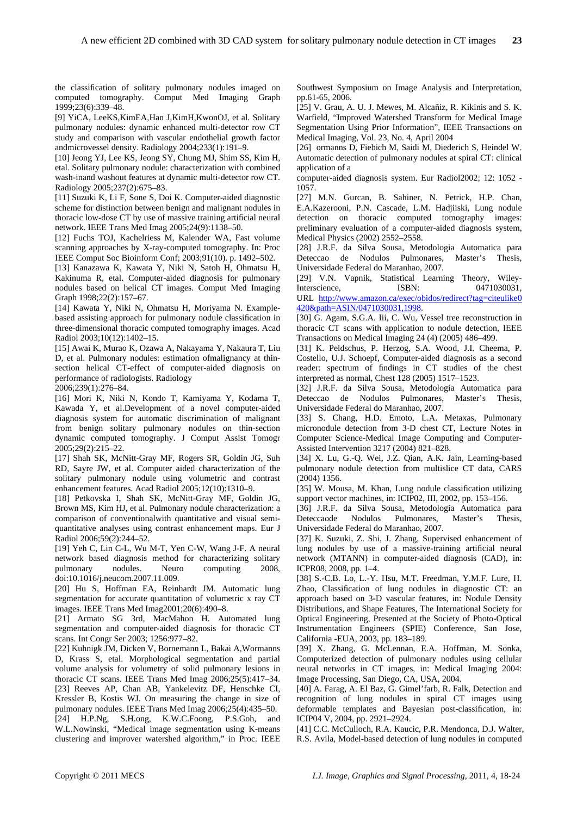the classification of solitary pulmonary nodules imaged on computed tomography. Comput Med Imaging Graph 1999;23(6):339–48.

[9] YiCA, LeeKS,KimEA,Han J,KimH,KwonOJ, et al. Solitary pulmonary nodules: dynamic enhanced multi-detector row CT study and comparison with vascular endothelial growth factor andmicrovessel density. Radiology 2004;233(1):191–9.

[10] Jeong YJ, Lee KS, Jeong SY, Chung MJ, Shim SS, Kim H, etal. Solitary pulmonary nodule: characterization with combined wash-inand washout features at dynamic multi-detector row CT. Radiology 2005;237(2):675–83.

[11] Suzuki K, Li F, Sone S, Doi K. Computer-aided diagnostic scheme for distinction between benign and malignant nodules in thoracic low-dose CT by use of massive training artificial neural network. IEEE Trans Med Imag 2005;24(9):1138–50.

[12] Fuchs TOJ, Kachelriess M, Kalender WA, Fast volume scanning approaches by X-ray-computed tomography. In: Proc IEEE Comput Soc Bioinform Conf; 2003;91(10). p. 1492–502.

[13] Kanazawa K, Kawata Y, Niki N, Satoh H, Ohmatsu H, Kakinuma R, etal. Computer-aided diagnosis for pulmonary nodules based on helical CT images. Comput Med Imaging Graph 1998;22(2):157–67.

[14] Kawata Y, Niki N, Ohmatsu H, Moriyama N. Examplebased assisting approach for pulmonary nodule classification in three-dimensional thoracic computed tomography images. Acad Radiol 2003;10(12):1402–15.

[15] Awai K, Murao K, Ozawa A, Nakayama Y, Nakaura T, Liu D, et al. Pulmonary nodules: estimation ofmalignancy at thinsection helical CT-effect of computer-aided diagnosis on performance of radiologists. Radiology

2006;239(1):276–84.

[16] Mori K, Niki N, Kondo T, Kamiyama Y, Kodama T, Kawada Y, et al.Development of a novel computer-aided diagnosis system for automatic discrimination of malignant from benign solitary pulmonary nodules on thin-section dynamic computed tomography. J Comput Assist Tomogr 2005;29(2):215–22.

[17] Shah SK, McNitt-Gray MF, Rogers SR, Goldin JG, Suh RD, Sayre JW, et al. Computer aided characterization of the solitary pulmonary nodule using volumetric and contrast enhancement features. Acad Radiol 2005;12(10):1310–9.

[18] Petkovska I, Shah SK, McNitt-Gray MF, Goldin JG, Brown MS, Kim HJ, et al. Pulmonary nodule characterization: a comparison of conventionalwith quantitative and visual semiquantitative analyses using contrast enhancement maps. Eur J Radiol 2006;59(2):244–52.

[19] Yeh C, Lin C-L, Wu M-T, Yen C-W, Wang J-F. A neural network based diagnosis method for characterizing solitary pulmonary nodules. Neuro computing 2008, doi:10.1016/j.neucom.2007.11.009.

[20] Hu S, Hoffman EA, Reinhardt JM. Automatic lung segmentation for accurate quantitation of volumetric x ray CT images. IEEE Trans Med Imag2001;20(6):490–8.

[21] Armato SG 3rd, MacMahon H. Automated lung segmentation and computer-aided diagnosis for thoracic CT scans. Int Congr Ser 2003; 1256:977–82.

[22] Kuhnigk JM, Dicken V, Bornemann L, Bakai A,Wormanns D, Krass S, etal. Morphological segmentation and partial volume analysis for volumetry of solid pulmonary lesions in thoracic CT scans. IEEE Trans Med Imag 2006;25(5):417–34. [23] Reeves AP, Chan AB, Yankelevitz DF, Henschke CI, Kressler B, Kostis WJ. On measuring the change in size of pulmonary nodules. IEEE Trans Med Imag 2006;25(4):435–50. [24] H.P.Ng, S.H.ong, K.W.C.Foong, P.S.Goh, and W.L.Nowinski, "Medical image segmentation using K-means clustering and improver watershed algorithm," in Proc. IEEE

Southwest Symposium on Image Analysis and Interpretation, pp.61-65, 2006.

[25] V. Grau, A. U. J. Mewes, M. Alcañiz, R. Kikinis and S. K. Warfield, "Improved Watershed Transform for Medical Image Segmentation Using Prior Information", IEEE Transactions on Medical Imaging, Vol. 23, No. 4, April 2004

[26] ormanns D, Fiebich M, Saidi M, Diederich S, Heindel W. Automatic detection of pulmonary nodules at spiral CT: clinical application of a

computer-aided diagnosis system. Eur Radiol2002; 12: 1052 - 1057.

[27] M.N. Gurcan, B. Sahiner, N. Petrick, H.P. Chan, E.A.Kazerooni, P.N. Cascade, L.M. Hadjiiski, Lung nodule detection on thoracic computed tomography images: preliminary evaluation of a computer-aided diagnosis system, Medical Physics (2002) 2552–2558.

[28] J.R.F. da Silva Sousa, Metodologia Automatica para Deteccao de Nodulos Pulmonares, Master's Thesis, Universidade Federal do Maranhao, 2007.

[29] V.N. Vapnik, Statistical Learning Theory, Wiley-Interscience, ISBN: 0471030031, URL [http://www.amazon.ca/exec/obidos/redirect?tag=citeulike0](http://www.amazon.ca/exec/obidos/redirect?tag=citeulike0420&path=ASIN/0471030031,1998) [420&path=ASIN/0471030031,1](http://www.amazon.ca/exec/obidos/redirect?tag=citeulike0420&path=ASIN/0471030031,1998)998.

[30] G. Agam, S.G.A. Iii, C. Wu, Vessel tree reconstruction in thoracic CT scans with application to nodule detection, IEEE Transactions on Medical Imaging 24 (4) (2005) 486–499.

[31] K. Peldschus, P. Herzog, S.A. Wood, J.I. Cheema, P. Costello, U.J. Schoepf, Computer-aided diagnosis as a second reader: spectrum of findings in CT studies of the chest interpreted as normal, Chest 128 (2005) 1517–1523.

[32] J.R.F. da Silva Sousa, Metodologia Automatica para Deteccao de Nodulos Pulmonares, Master's Thesis, Universidade Federal do Maranhao, 2007.

[33] S. Chang, H.D. Emoto, L.A. Metaxas, Pulmonary micronodule detection from 3-D chest CT, Lecture Notes in Computer Science-Medical Image Computing and Computer-Assisted Intervention 3217 (2004) 821–828.

[34] X. Lu, G.-Q. Wei, J.Z. Qian, A.K. Jain, Learning-based pulmonary nodule detection from multislice CT data, CARS (2004) 1356.

[35] W. Mousa, M. Khan, Lung nodule classification utilizing support vector machines, in: ICIP02, III, 2002, pp. 153-156.

[36] J.R.F. da Silva Sousa, Metodologia Automatica para Deteccaode Nodulos Pulmonares, Master's Thesis, Universidade Federal do Maranhao, 2007.

[37] K. Suzuki, Z. Shi, J. Zhang, Supervised enhancement of lung nodules by use of a massive-training artificial neural network (MTANN) in computer-aided diagnosis (CAD), in: ICPR08, 2008, pp. 1–4.

[38] S.-C.B. Lo, L.-Y. Hsu, M.T. Freedman, Y.M.F. Lure, H. Zhao, Classification of lung nodules in diagnostic CT: an approach based on 3-D vascular features, in: Nodule Density Distributions, and Shape Features, The International Society for Optical Engineering, Presented at the Society of Photo-Optical Instrumentation Engineers (SPIE) Conference, San Jose, California -EUA, 2003, pp. 183–189.

[39] X. Zhang, G. McLennan, E.A. Hoffman, M. Sonka, Computerized detection of pulmonary nodules using cellular neural networks in CT images, in: Medical Imaging 2004: Image Processing, San Diego, CA, USA, 2004.

[40] A. Farag, A. El Baz, G. Gimel'farb, R. Falk, Detection and recognition of lung nodules in spiral CT images using deformable templates and Bayesian post-classification, in: ICIP04 V, 2004, pp. 2921–2924.

[41] C.C. McCulloch, R.A. Kaucic, P.R. Mendonca, D.J. Walter, R.S. Avila, Model-based detection of lung nodules in computed